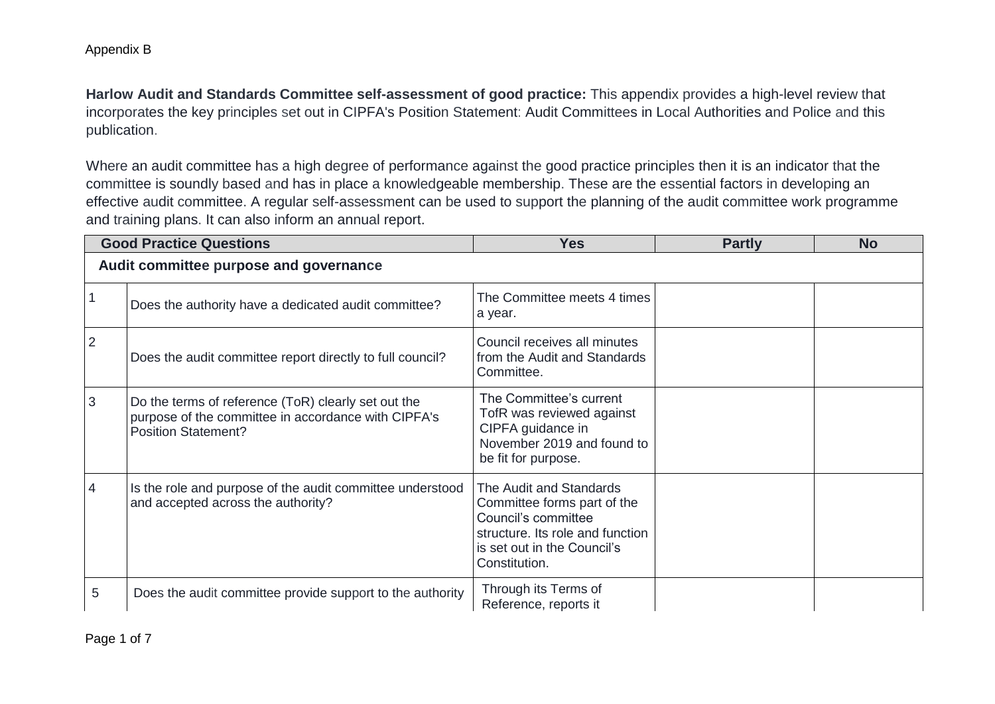**Harlow Audit and Standards Committee self-assessment of good practice:** This appendix provides a high-level review that incorporates the key principles set out in CIPFA's Position Statement: Audit Committees in Local Authorities and Police and this publication.

Where an audit committee has a high degree of performance against the good practice principles then it is an indicator that the committee is soundly based and has in place a knowledgeable membership. These are the essential factors in developing an effective audit committee. A regular self-assessment can be used to support the planning of the audit committee work programme and training plans. It can also inform an annual report.

|                                        | <b>Good Practice Questions</b>                                                                                                           | <b>Yes</b>                                                                                                                                                        | <b>Partly</b> | <b>No</b> |  |
|----------------------------------------|------------------------------------------------------------------------------------------------------------------------------------------|-------------------------------------------------------------------------------------------------------------------------------------------------------------------|---------------|-----------|--|
| Audit committee purpose and governance |                                                                                                                                          |                                                                                                                                                                   |               |           |  |
|                                        | Does the authority have a dedicated audit committee?                                                                                     | The Committee meets 4 times<br>a year.                                                                                                                            |               |           |  |
| $\overline{2}$                         | Does the audit committee report directly to full council?                                                                                | Council receives all minutes<br>from the Audit and Standards<br>Committee.                                                                                        |               |           |  |
| 3                                      | Do the terms of reference (ToR) clearly set out the<br>purpose of the committee in accordance with CIPFA's<br><b>Position Statement?</b> | The Committee's current<br>TofR was reviewed against<br>CIPFA guidance in<br>November 2019 and found to<br>be fit for purpose.                                    |               |           |  |
| 4                                      | Is the role and purpose of the audit committee understood<br>and accepted across the authority?                                          | The Audit and Standards<br>Committee forms part of the<br>Council's committee<br>structure. Its role and function<br>is set out in the Council's<br>Constitution. |               |           |  |
| 5                                      | Does the audit committee provide support to the authority                                                                                | Through its Terms of<br>Reference, reports it                                                                                                                     |               |           |  |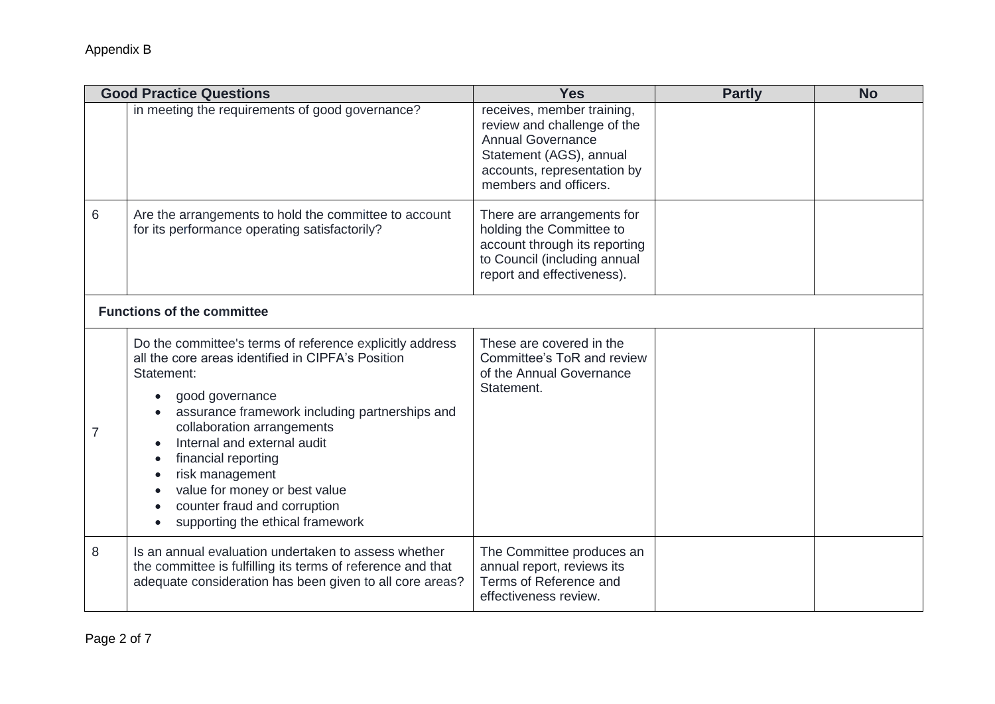|   | <b>Good Practice Questions</b>                                                                                                                                                                                                                                                                                                                                                                               | <b>Yes</b>                                                                                                                                                               | <b>Partly</b> | <b>No</b> |
|---|--------------------------------------------------------------------------------------------------------------------------------------------------------------------------------------------------------------------------------------------------------------------------------------------------------------------------------------------------------------------------------------------------------------|--------------------------------------------------------------------------------------------------------------------------------------------------------------------------|---------------|-----------|
|   | in meeting the requirements of good governance?                                                                                                                                                                                                                                                                                                                                                              | receives, member training,<br>review and challenge of the<br><b>Annual Governance</b><br>Statement (AGS), annual<br>accounts, representation by<br>members and officers. |               |           |
| 6 | Are the arrangements to hold the committee to account<br>for its performance operating satisfactorily?                                                                                                                                                                                                                                                                                                       | There are arrangements for<br>holding the Committee to<br>account through its reporting<br>to Council (including annual<br>report and effectiveness).                    |               |           |
|   | <b>Functions of the committee</b>                                                                                                                                                                                                                                                                                                                                                                            |                                                                                                                                                                          |               |           |
| 7 | Do the committee's terms of reference explicitly address<br>all the core areas identified in CIPFA's Position<br>Statement:<br>good governance<br>assurance framework including partnerships and<br>collaboration arrangements<br>Internal and external audit<br>financial reporting<br>risk management<br>value for money or best value<br>counter fraud and corruption<br>supporting the ethical framework | These are covered in the<br>Committee's ToR and review<br>of the Annual Governance<br>Statement.                                                                         |               |           |
| 8 | Is an annual evaluation undertaken to assess whether<br>the committee is fulfilling its terms of reference and that<br>adequate consideration has been given to all core areas?                                                                                                                                                                                                                              | The Committee produces an<br>annual report, reviews its<br>Terms of Reference and<br>effectiveness review.                                                               |               |           |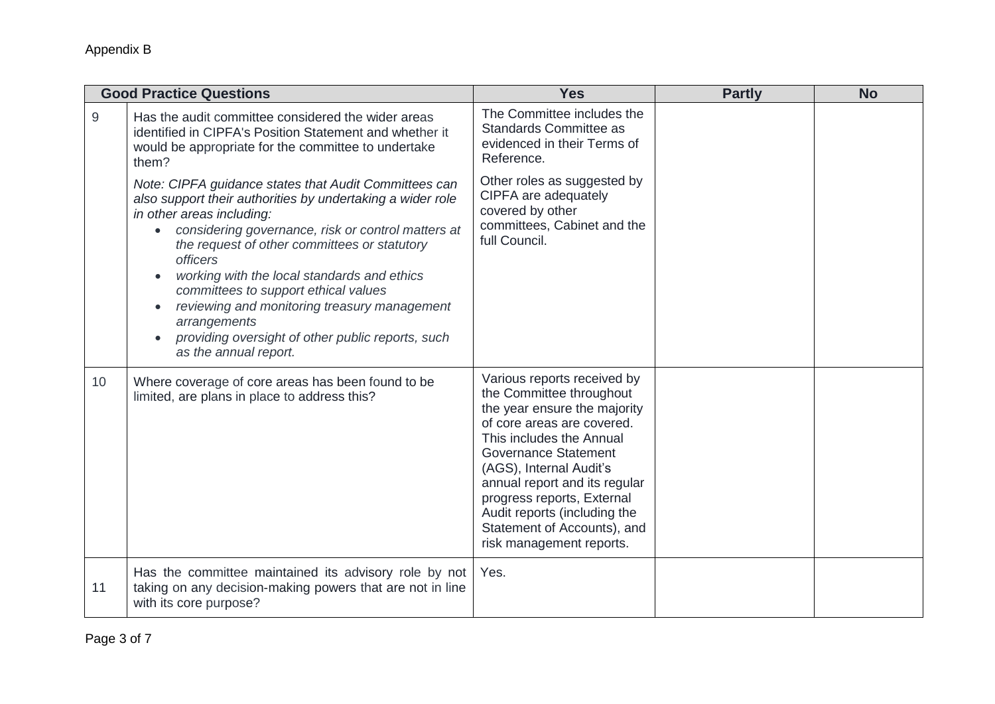|    | <b>Good Practice Questions</b>                                                                                                                                                                                                                                                                                                                                                                                                                                                                                                                        | <b>Yes</b>                                                                                                                                                                                                                                                                                                                                                            | <b>Partly</b> | <b>No</b> |
|----|-------------------------------------------------------------------------------------------------------------------------------------------------------------------------------------------------------------------------------------------------------------------------------------------------------------------------------------------------------------------------------------------------------------------------------------------------------------------------------------------------------------------------------------------------------|-----------------------------------------------------------------------------------------------------------------------------------------------------------------------------------------------------------------------------------------------------------------------------------------------------------------------------------------------------------------------|---------------|-----------|
| 9  | Has the audit committee considered the wider areas<br>identified in CIPFA's Position Statement and whether it<br>would be appropriate for the committee to undertake<br>them?                                                                                                                                                                                                                                                                                                                                                                         | The Committee includes the<br>Standards Committee as<br>evidenced in their Terms of<br>Reference.                                                                                                                                                                                                                                                                     |               |           |
|    | Note: CIPFA guidance states that Audit Committees can<br>also support their authorities by undertaking a wider role<br>in other areas including:<br>considering governance, risk or control matters at<br>$\bullet$<br>the request of other committees or statutory<br><i>officers</i><br>working with the local standards and ethics<br>$\bullet$<br>committees to support ethical values<br>reviewing and monitoring treasury management<br>$\bullet$<br>arrangements<br>providing oversight of other public reports, such<br>as the annual report. | Other roles as suggested by<br>CIPFA are adequately<br>covered by other<br>committees, Cabinet and the<br>full Council.                                                                                                                                                                                                                                               |               |           |
| 10 | Where coverage of core areas has been found to be<br>limited, are plans in place to address this?                                                                                                                                                                                                                                                                                                                                                                                                                                                     | Various reports received by<br>the Committee throughout<br>the year ensure the majority<br>of core areas are covered.<br>This includes the Annual<br><b>Governance Statement</b><br>(AGS), Internal Audit's<br>annual report and its regular<br>progress reports, External<br>Audit reports (including the<br>Statement of Accounts), and<br>risk management reports. |               |           |
| 11 | Has the committee maintained its advisory role by not<br>taking on any decision-making powers that are not in line<br>with its core purpose?                                                                                                                                                                                                                                                                                                                                                                                                          | Yes.                                                                                                                                                                                                                                                                                                                                                                  |               |           |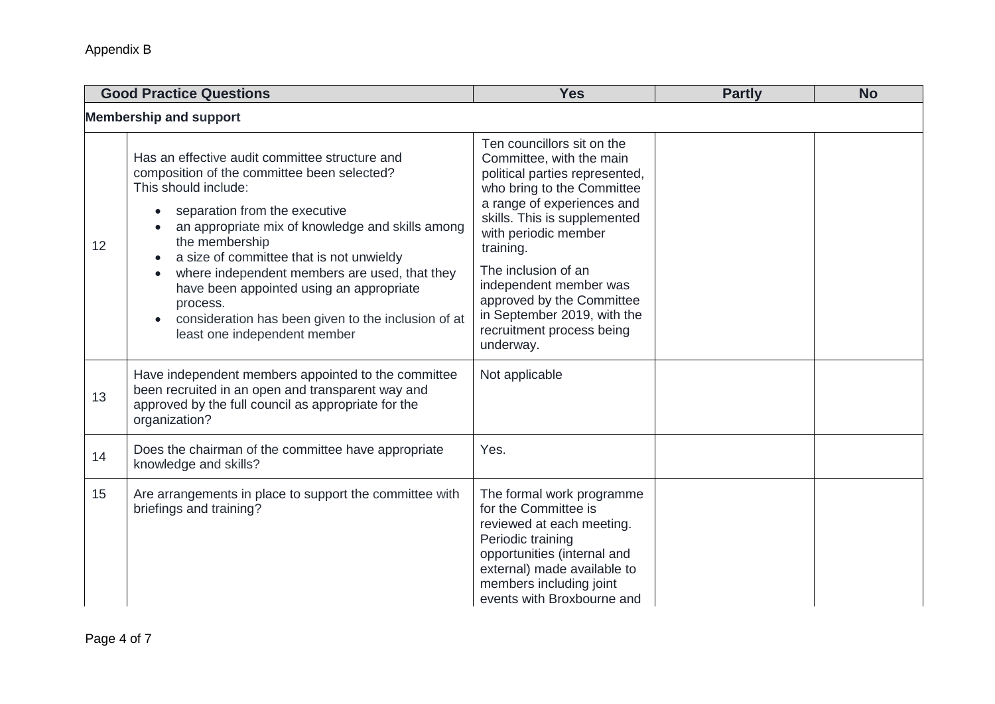| <b>Good Practice Questions</b> |                                                                                                                                                                                                                                                                                                                                                                                                                                                                          | <b>Yes</b>                                                                                                                                                                                                                                                                                                                                                                       | <b>Partly</b> | <b>No</b> |  |
|--------------------------------|--------------------------------------------------------------------------------------------------------------------------------------------------------------------------------------------------------------------------------------------------------------------------------------------------------------------------------------------------------------------------------------------------------------------------------------------------------------------------|----------------------------------------------------------------------------------------------------------------------------------------------------------------------------------------------------------------------------------------------------------------------------------------------------------------------------------------------------------------------------------|---------------|-----------|--|
| <b>Membership and support</b>  |                                                                                                                                                                                                                                                                                                                                                                                                                                                                          |                                                                                                                                                                                                                                                                                                                                                                                  |               |           |  |
| 12                             | Has an effective audit committee structure and<br>composition of the committee been selected?<br>This should include:<br>separation from the executive<br>an appropriate mix of knowledge and skills among<br>the membership<br>a size of committee that is not unwieldy<br>where independent members are used, that they<br>have been appointed using an appropriate<br>process.<br>consideration has been given to the inclusion of at<br>least one independent member | Ten councillors sit on the<br>Committee, with the main<br>political parties represented,<br>who bring to the Committee<br>a range of experiences and<br>skills. This is supplemented<br>with periodic member<br>training.<br>The inclusion of an<br>independent member was<br>approved by the Committee<br>in September 2019, with the<br>recruitment process being<br>underway. |               |           |  |
| 13                             | Have independent members appointed to the committee<br>been recruited in an open and transparent way and<br>approved by the full council as appropriate for the<br>organization?                                                                                                                                                                                                                                                                                         | Not applicable                                                                                                                                                                                                                                                                                                                                                                   |               |           |  |
| 14                             | Does the chairman of the committee have appropriate<br>knowledge and skills?                                                                                                                                                                                                                                                                                                                                                                                             | Yes.                                                                                                                                                                                                                                                                                                                                                                             |               |           |  |
| 15                             | Are arrangements in place to support the committee with<br>briefings and training?                                                                                                                                                                                                                                                                                                                                                                                       | The formal work programme<br>for the Committee is<br>reviewed at each meeting.<br>Periodic training<br>opportunities (internal and<br>external) made available to<br>members including joint<br>events with Broxbourne and                                                                                                                                                       |               |           |  |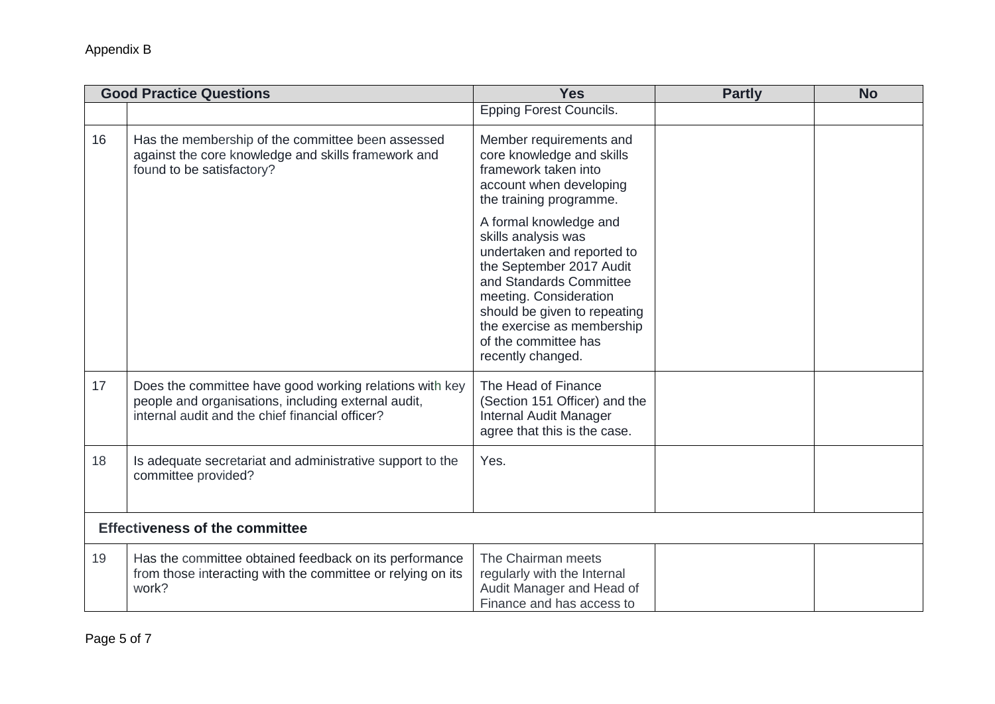| <b>Good Practice Questions</b> |                                                                                                                                                                   | <b>Yes</b>                                                                                                                                                                                                                                                              | <b>Partly</b> | <b>No</b> |  |
|--------------------------------|-------------------------------------------------------------------------------------------------------------------------------------------------------------------|-------------------------------------------------------------------------------------------------------------------------------------------------------------------------------------------------------------------------------------------------------------------------|---------------|-----------|--|
|                                |                                                                                                                                                                   | <b>Epping Forest Councils.</b>                                                                                                                                                                                                                                          |               |           |  |
| 16                             | Has the membership of the committee been assessed<br>against the core knowledge and skills framework and<br>found to be satisfactory?                             | Member requirements and<br>core knowledge and skills<br>framework taken into<br>account when developing<br>the training programme.                                                                                                                                      |               |           |  |
|                                |                                                                                                                                                                   | A formal knowledge and<br>skills analysis was<br>undertaken and reported to<br>the September 2017 Audit<br>and Standards Committee<br>meeting. Consideration<br>should be given to repeating<br>the exercise as membership<br>of the committee has<br>recently changed. |               |           |  |
| 17                             | Does the committee have good working relations with key<br>people and organisations, including external audit,<br>internal audit and the chief financial officer? | The Head of Finance<br>(Section 151 Officer) and the<br>Internal Audit Manager<br>agree that this is the case.                                                                                                                                                          |               |           |  |
| 18                             | Is adequate secretariat and administrative support to the<br>committee provided?                                                                                  | Yes.                                                                                                                                                                                                                                                                    |               |           |  |
|                                | <b>Effectiveness of the committee</b>                                                                                                                             |                                                                                                                                                                                                                                                                         |               |           |  |
| 19                             | Has the committee obtained feedback on its performance<br>from those interacting with the committee or relying on its<br>work?                                    | The Chairman meets<br>regularly with the Internal<br>Audit Manager and Head of<br>Finance and has access to                                                                                                                                                             |               |           |  |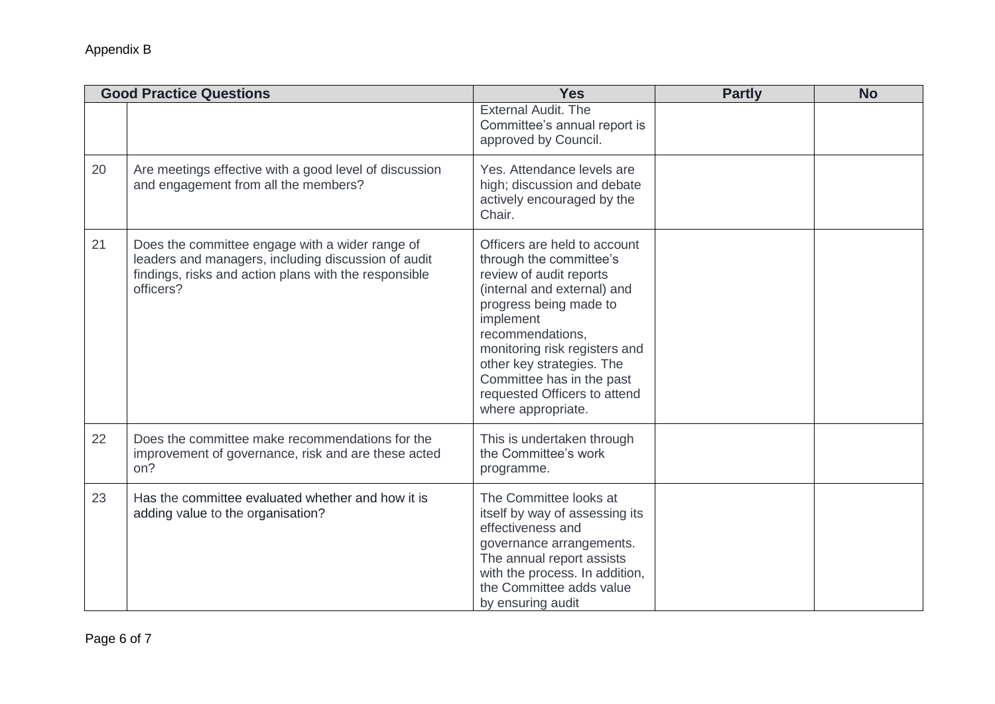| <b>Good Practice Questions</b> |                                                                                                                                                                              | <b>Yes</b>                                                                                                                                                                                                                                                                                                                    | <b>Partly</b> | <b>No</b> |
|--------------------------------|------------------------------------------------------------------------------------------------------------------------------------------------------------------------------|-------------------------------------------------------------------------------------------------------------------------------------------------------------------------------------------------------------------------------------------------------------------------------------------------------------------------------|---------------|-----------|
|                                |                                                                                                                                                                              | <b>External Audit. The</b><br>Committee's annual report is<br>approved by Council.                                                                                                                                                                                                                                            |               |           |
| 20                             | Are meetings effective with a good level of discussion<br>and engagement from all the members?                                                                               | Yes. Attendance levels are<br>high; discussion and debate<br>actively encouraged by the<br>Chair.                                                                                                                                                                                                                             |               |           |
| 21                             | Does the committee engage with a wider range of<br>leaders and managers, including discussion of audit<br>findings, risks and action plans with the responsible<br>officers? | Officers are held to account<br>through the committee's<br>review of audit reports<br>(internal and external) and<br>progress being made to<br>implement<br>recommendations,<br>monitoring risk registers and<br>other key strategies. The<br>Committee has in the past<br>requested Officers to attend<br>where appropriate. |               |           |
| 22                             | Does the committee make recommendations for the<br>improvement of governance, risk and are these acted<br>on?                                                                | This is undertaken through<br>the Committee's work<br>programme.                                                                                                                                                                                                                                                              |               |           |
| 23                             | Has the committee evaluated whether and how it is<br>adding value to the organisation?                                                                                       | The Committee looks at<br>itself by way of assessing its<br>effectiveness and<br>governance arrangements.<br>The annual report assists<br>with the process. In addition,<br>the Committee adds value<br>by ensuring audit                                                                                                     |               |           |